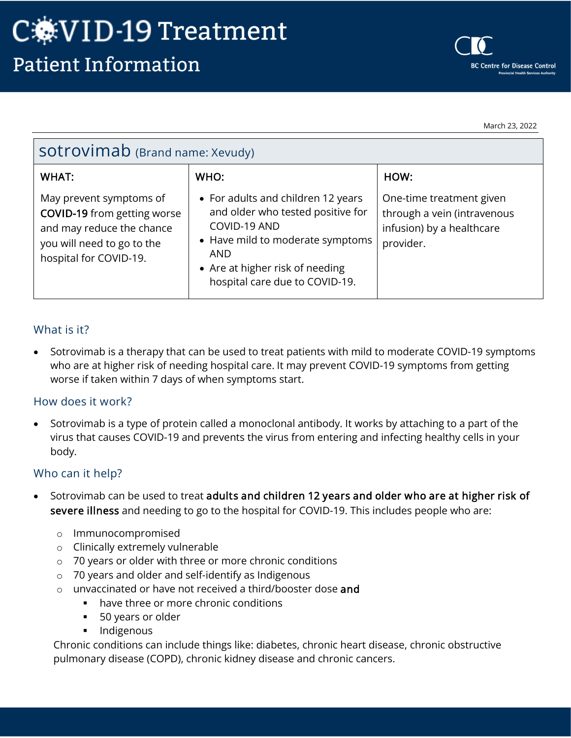March 23, 2022

| SOtrovimab (Brand name: Xevudy)                                                                                                                    |                                                                                                                                                                                                                |                                                                                                   |
|----------------------------------------------------------------------------------------------------------------------------------------------------|----------------------------------------------------------------------------------------------------------------------------------------------------------------------------------------------------------------|---------------------------------------------------------------------------------------------------|
| <b>WHAT:</b>                                                                                                                                       | WHO:                                                                                                                                                                                                           | HOW:                                                                                              |
| May prevent symptoms of<br><b>COVID-19</b> from getting worse<br>and may reduce the chance<br>you will need to go to the<br>hospital for COVID-19. | • For adults and children 12 years<br>and older who tested positive for<br>COVID-19 AND<br>• Have mild to moderate symptoms<br><b>AND</b><br>• Are at higher risk of needing<br>hospital care due to COVID-19. | One-time treatment given<br>through a vein (intravenous<br>infusion) by a healthcare<br>provider. |

### What is it?

• Sotrovimab is a therapy that can be used to treat patients with mild to moderate COVID-19 symptoms who are at higher risk of needing hospital care. It may prevent COVID-19 symptoms from getting worse if taken within 7 days of when symptoms start.

### How does it work?

• Sotrovimab is a type of protein called a monoclonal antibody. It works by attaching to a part of the virus that causes COVID-19 and prevents the virus from entering and infecting healthy cells in your body.

### Who can it help?

- Sotrovimab can be used to treat adults and children 12 years and older who are at higher risk of severe illness and needing to go to the hospital for COVID-19. This includes people who are:
	- o Immunocompromised
	- o Clinically extremely vulnerable
	- o 70 years or older with three or more chronic conditions
	- o 70 years and older and self-identify as Indigenous
	- o unvaccinated or have not received a third/booster dose and
		- have three or more chronic conditions
		- 50 years or older
		- **Indigenous**

Chronic conditions can include things like: diabetes, chronic heart disease, chronic obstructive pulmonary disease (COPD), chronic kidney disease and chronic cancers.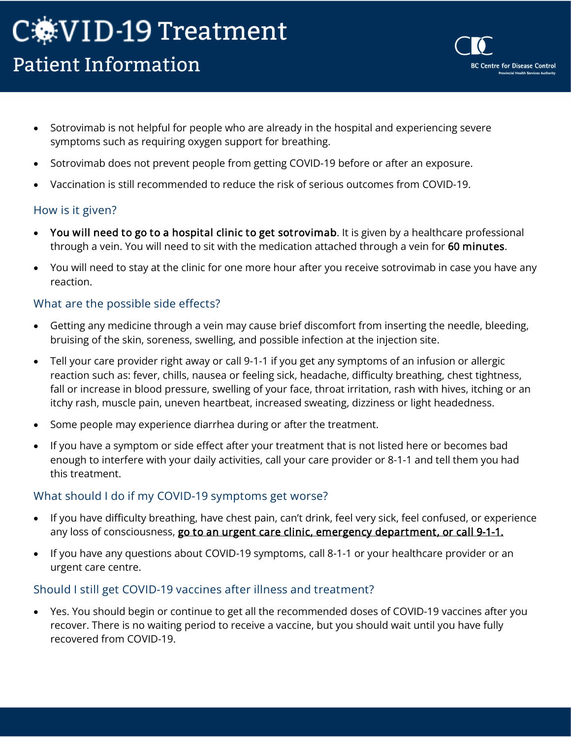# C. VID-19 Treatment **Patient Information**

• Sotrovimab is not helpful for people who are already in the hospital and experiencing severe symptoms such as requiring oxygen support for breathing.

**BC Centre for Disease Control** rovincial Health Services Auth

- Sotrovimab does not prevent people from getting COVID-19 before or after an exposure.
- Vaccination is still recommended to reduce the risk of serious outcomes from COVID-19.

### How is it given?

- You will need to go to a hospital clinic to get sotrovimab. It is given by a healthcare professional through a vein. You will need to sit with the medication attached through a vein for 60 minutes.
- You will need to stay at the clinic for one more hour after you receive sotrovimab in case you have any reaction.

## What are the possible side effects?

- Getting any medicine through a vein may cause brief discomfort from inserting the needle, bleeding, bruising of the skin, soreness, swelling, and possible infection at the injection site.
- Tell your care provider right away or call 9-1-1 if you get any symptoms of an infusion or allergic reaction such as: fever, chills, nausea or feeling sick, headache, difficulty breathing, chest tightness, fall or increase in blood pressure, swelling of your face, throat irritation, rash with hives, itching or an itchy rash, muscle pain, uneven heartbeat, increased sweating, dizziness or light headedness.
- Some people may experience diarrhea during or after the treatment.
- If you have a symptom or side effect after your treatment that is not listed here or becomes bad enough to interfere with your daily activities, call your care provider or 8-1-1 and tell them you had this treatment.

### What should I do if my COVID-19 symptoms get worse?

- If you have difficulty breathing, have chest pain, can't drink, feel very sick, feel confused, or experience any loss of consciousness, go to an urgent care clinic, emergency department, or call 9-1-1.
- If you have any questions about COVID-19 symptoms, call 8-1-1 or your healthcare provider or an urgent care centre.

### Should I still get COVID-19 vaccines after illness and treatment?

• Yes. You should begin or continue to get all the recommended doses of COVID-19 vaccines after you recover. There is no waiting period to receive a vaccine, but you should wait until you have fully recovered from COVID-19.